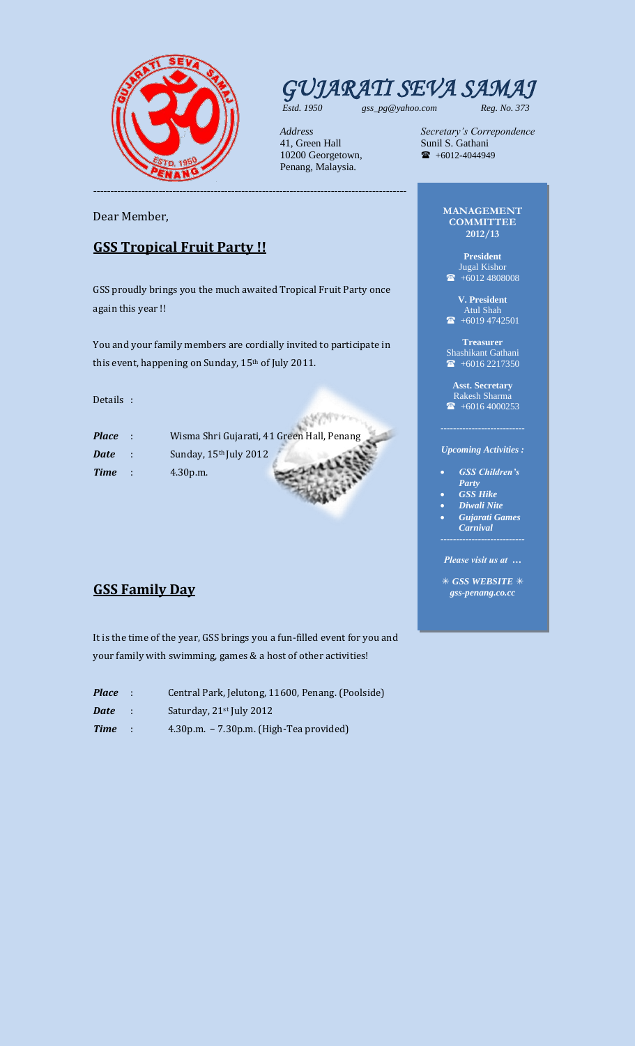

# *GUJARATI SEVA SAMAJ*

10200 Georgetown, Penang, Malaysia.

おくのサマン

**FOSSA** 

*Estd. 1950 gss\_pg@yahoo.com Reg. No. 373*

*Address Secretary's Correpondence* Sunil S. Gathani<br>  $\bullet$  +6012-4044949

Dear Member,

# **GSS Tropical Fruit Party !!**

GSS proudly brings you the much awaited Tropical Fruit Party once again this year !!

You and your family members are cordially invited to participate in this event, happening on Sunday, 15<sup>th</sup> of July 2011.

Details :

| <b>Place</b> | Wisma Shri Gujarati, 41 Green Hall, Penang |  |
|--------------|--------------------------------------------|--|
| <b>Date</b>  | Sunday, 15 <sup>th</sup> July 2012         |  |
| <b>Time</b>  | 4.30 p.m.                                  |  |

# **GSS Family Day**

It is the time of the year, GSS brings you a fun-filled event for you and your family with swimming, games & a host of other activities!

| Central Park, Jelutong, 11600, Penang. (Poolside) |
|---------------------------------------------------|
|                                                   |

- **Date** : Saturday, 21<sup>st</sup> July 2012
- *Time* : 4.30p.m. 7.30p.m. (High-Tea provided)

#### **MANAGEMENT COMMITTEE 2012/13**

**President** Jugal Kishor  $\bullet$  +6012 4808008

**V. President** Atul Shah  $\bullet$  +6019 4742501

**Treasurer** Shashikant Gathani  $\bullet$  +6016 2217350

**Asst. Secretary** Rakesh Sharma  $\bullet$  +6016 4000253

## *Upcoming Activities :*

- *GSS Children's Party*
- *GSS Hike*
- *Diwali Nite*
- *Gujarati Games Carnival*

*Please visit us at …*

 *GSS WEBSITE gss-penang.co.cc*